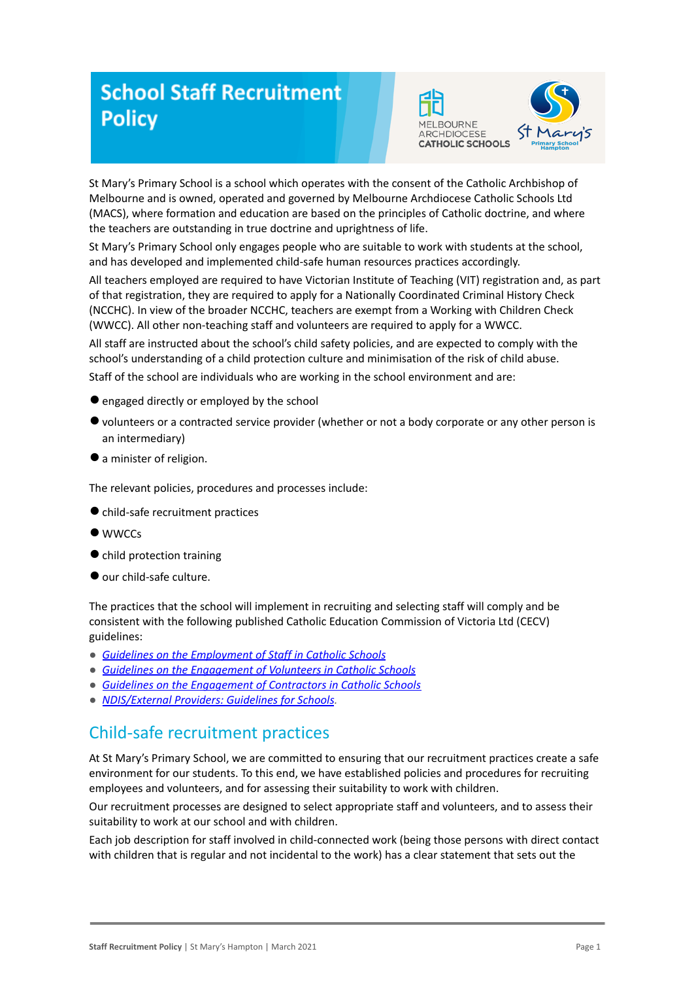# **School Staff Recruitment Policy**



St Mary's Primary School is a school which operates with the consent of the Catholic Archbishop of Melbourne and is owned, operated and governed by Melbourne Archdiocese Catholic Schools Ltd (MACS), where formation and education are based on the principles of Catholic doctrine, and where the teachers are outstanding in true doctrine and uprightness of life.

St Mary's Primary School only engages people who are suitable to work with students at the school, and has developed and implemented child-safe human resources practices accordingly.

All teachers employed are required to have Victorian Institute of Teaching (VIT) registration and, as part of that registration, they are required to apply for a Nationally Coordinated Criminal History Check (NCCHC). In view of the broader NCCHC, teachers are exempt from a Working with Children Check (WWCC). All other non-teaching staff and volunteers are required to apply for a WWCC.

All staff are instructed about the school's child safety policies, and are expected to comply with the school's understanding of a child protection culture and minimisation of the risk of child abuse.

Staff of the school are individuals who are working in the school environment and are:

- engaged directly or employed by the school
- ●volunteers or a contracted service provider (whether or not a body corporate or any other person is an intermediary)
- ●a minister of religion.

The relevant policies, procedures and processes include:

- ●child-safe recruitment practices
- **WWCCs**
- ●child protection training
- ●our child-safe culture.

The practices that the school will implement in recruiting and selecting staff will comply and be consistent with the following published Catholic Education Commission of Victoria Ltd (CECV) guidelines:

- *● [Guidelines on the Employment of Staff in Catholic](https://www.cecv.catholic.edu.au/getmedia/0393d7fb-2fb9-4e48-a05e-56b703dd62eb/Employment-Guidelines.aspx) Schools*
- *● [Guidelines on the Engagement of Volunteers in Catholic](https://www.cecv.catholic.edu.au/Media-Files/IR/Policies-Guidelines/Volunteers/Guidelines-on-the-Engagement-of-Volunteers.aspx) Schools*
- *● [Guidelines on the Engagement of Contractors in Catholic](https://www.cecv.catholic.edu.au/Media-Files/IR/Policies-Guidelines/Staff,-Contractors,-Volunteers/Contractor-Guidelines.aspx) Schools*
- *● [NDIS/External Providers: Guidelines for Schools](https://www.cecv.catholic.edu.au/getmedia/cec12bdf-5e03-4d3a-ac47-504fe084f415/NDIS-External-Providers-Guidelines.aspx?ext=.pdf).*

### Child-safe recruitment practices

At St Mary's Primary School, we are committed to ensuring that our recruitment practices create a safe environment for our students. To this end, we have established policies and procedures for recruiting employees and volunteers, and for assessing their suitability to work with children.

Our recruitment processes are designed to select appropriate staff and volunteers, and to assess their suitability to work at our school and with children.

Each job description for staff involved in child-connected work (being those persons with direct contact with children that is regular and not incidental to the work) has a clear statement that sets out the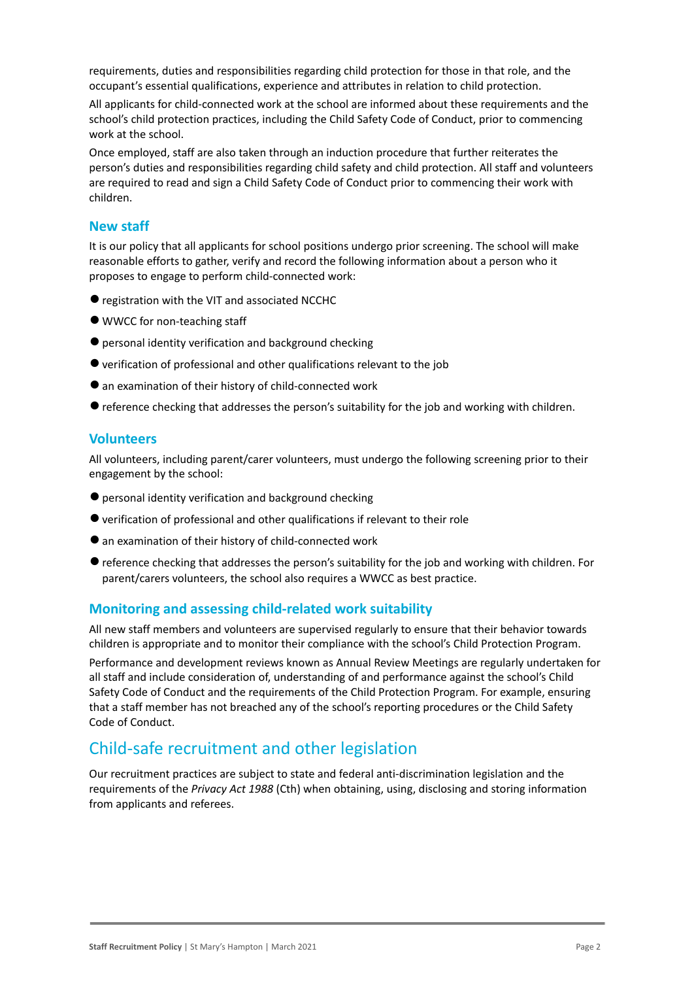requirements, duties and responsibilities regarding child protection for those in that role, and the occupant's essential qualifications, experience and attributes in relation to child protection.

All applicants for child-connected work at the school are informed about these requirements and the school's child protection practices, including the Child Safety Code of Conduct, prior to commencing work at the school.

Once employed, staff are also taken through an induction procedure that further reiterates the person's duties and responsibilities regarding child safety and child protection. All staff and volunteers are required to read and sign a Child Safety Code of Conduct prior to commencing their work with children.

#### **New staff**

It is our policy that all applicants for school positions undergo prior screening. The school will make reasonable efforts to gather, verify and record the following information about a person who it proposes to engage to perform child-connected work:

- registration with the VIT and associated NCCHC
- WWCC for non-teaching staff
- personal identity verification and background checking
- ●verification of professional and other qualifications relevant to the job
- an examination of their history of child-connected work
- ●reference checking that addresses the person's suitability for the job and working with children.

#### **Volunteers**

All volunteers, including parent/carer volunteers, must undergo the following screening prior to their engagement by the school:

- ●personal identity verification and background checking
- ●verification of professional and other qualifications if relevant to their role
- ●an examination of their history of child-connected work
- ●reference checking that addresses the person's suitability for the job and working with children. For parent/carers volunteers, the school also requires a WWCC as best practice.

#### **Monitoring and assessing child-related work suitability**

All new staff members and volunteers are supervised regularly to ensure that their behavior towards children is appropriate and to monitor their compliance with the school's Child Protection Program.

Performance and development reviews known as Annual Review Meetings are regularly undertaken for all staff and include consideration of, understanding of and performance against the school's Child Safety Code of Conduct and the requirements of the Child Protection Program. For example, ensuring that a staff member has not breached any of the school's reporting procedures or the Child Safety Code of Conduct.

### Child-safe recruitment and other legislation

Our recruitment practices are subject to state and federal anti-discrimination legislation and the requirements of the *Privacy Act 1988* (Cth) when obtaining, using, disclosing and storing information from applicants and referees.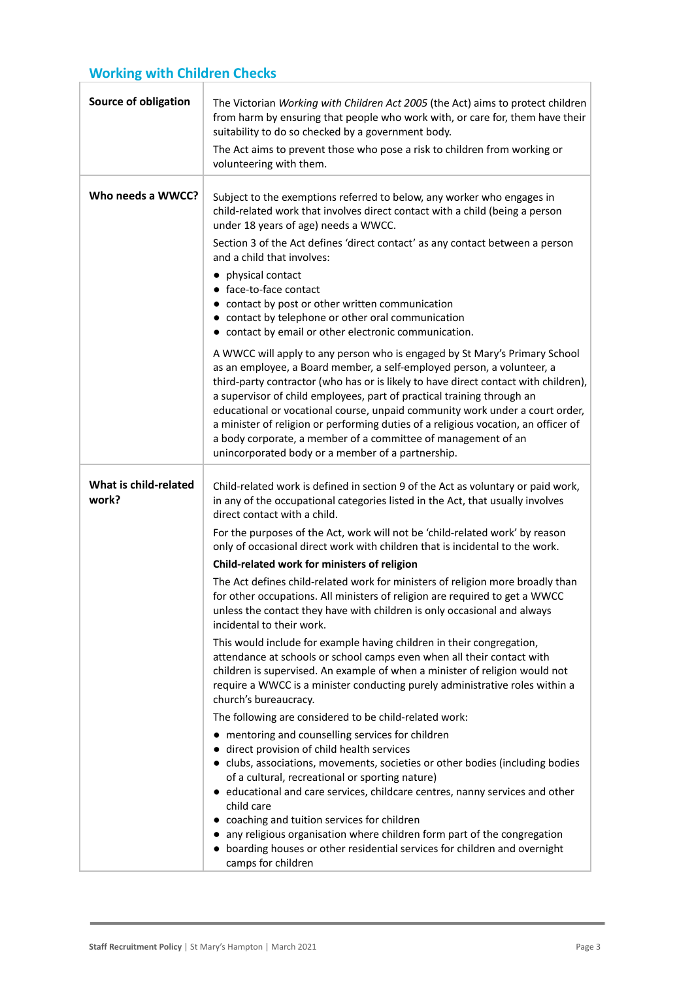## **Working with Children Checks**

| Source of obligation           | The Victorian Working with Children Act 2005 (the Act) aims to protect children<br>from harm by ensuring that people who work with, or care for, them have their<br>suitability to do so checked by a government body.                                                                                                                                                                                                                                                                                                                                                                                            |
|--------------------------------|-------------------------------------------------------------------------------------------------------------------------------------------------------------------------------------------------------------------------------------------------------------------------------------------------------------------------------------------------------------------------------------------------------------------------------------------------------------------------------------------------------------------------------------------------------------------------------------------------------------------|
|                                | The Act aims to prevent those who pose a risk to children from working or<br>volunteering with them.                                                                                                                                                                                                                                                                                                                                                                                                                                                                                                              |
| Who needs a WWCC?              | Subject to the exemptions referred to below, any worker who engages in<br>child-related work that involves direct contact with a child (being a person<br>under 18 years of age) needs a WWCC.<br>Section 3 of the Act defines 'direct contact' as any contact between a person                                                                                                                                                                                                                                                                                                                                   |
|                                | and a child that involves:                                                                                                                                                                                                                                                                                                                                                                                                                                                                                                                                                                                        |
|                                | • physical contact<br>• face-to-face contact<br>• contact by post or other written communication<br>• contact by telephone or other oral communication<br>• contact by email or other electronic communication.                                                                                                                                                                                                                                                                                                                                                                                                   |
|                                | A WWCC will apply to any person who is engaged by St Mary's Primary School<br>as an employee, a Board member, a self-employed person, a volunteer, a<br>third-party contractor (who has or is likely to have direct contact with children),<br>a supervisor of child employees, part of practical training through an<br>educational or vocational course, unpaid community work under a court order,<br>a minister of religion or performing duties of a religious vocation, an officer of<br>a body corporate, a member of a committee of management of an<br>unincorporated body or a member of a partnership. |
| What is child-related<br>work? | Child-related work is defined in section 9 of the Act as voluntary or paid work,<br>in any of the occupational categories listed in the Act, that usually involves<br>direct contact with a child.                                                                                                                                                                                                                                                                                                                                                                                                                |
|                                | For the purposes of the Act, work will not be 'child-related work' by reason<br>only of occasional direct work with children that is incidental to the work.                                                                                                                                                                                                                                                                                                                                                                                                                                                      |
|                                | Child-related work for ministers of religion                                                                                                                                                                                                                                                                                                                                                                                                                                                                                                                                                                      |
|                                | The Act defines child-related work for ministers of religion more broadly than<br>for other occupations. All ministers of religion are required to get a WWCC<br>unless the contact they have with children is only occasional and always<br>incidental to their work.                                                                                                                                                                                                                                                                                                                                            |
|                                | This would include for example having children in their congregation,<br>attendance at schools or school camps even when all their contact with<br>children is supervised. An example of when a minister of religion would not<br>require a WWCC is a minister conducting purely administrative roles within a<br>church's bureaucracy.                                                                                                                                                                                                                                                                           |
|                                | The following are considered to be child-related work:                                                                                                                                                                                                                                                                                                                                                                                                                                                                                                                                                            |
|                                | mentoring and counselling services for children                                                                                                                                                                                                                                                                                                                                                                                                                                                                                                                                                                   |
|                                | direct provision of child health services<br>• clubs, associations, movements, societies or other bodies (including bodies<br>of a cultural, recreational or sporting nature)<br>• educational and care services, childcare centres, nanny services and other<br>child care                                                                                                                                                                                                                                                                                                                                       |
|                                | coaching and tuition services for children<br>any religious organisation where children form part of the congregation<br>boarding houses or other residential services for children and overnight<br>camps for children                                                                                                                                                                                                                                                                                                                                                                                           |